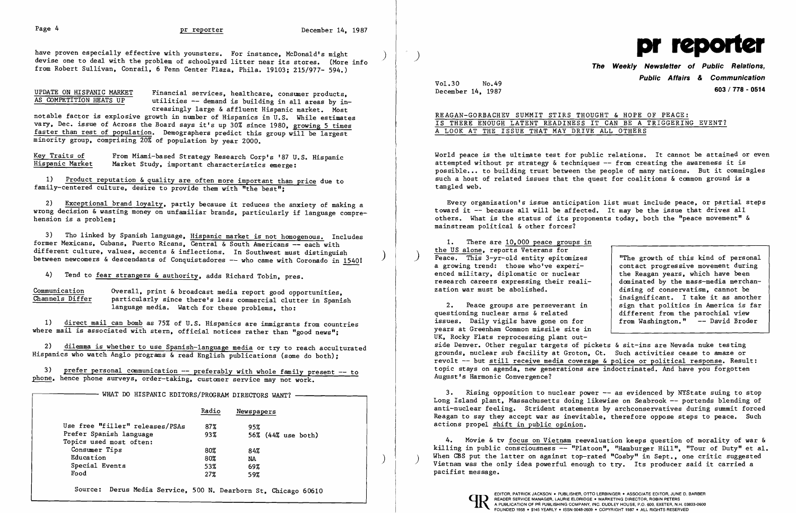have proven especially effective with younsters. For instance, McDonald's might<br>devise one to deal with the problem of schoolyard litter near its stores. (More info from Robert Sullivan. Conrail. 6 Penn Center Plaza. Phila. 19103; 215/977- 594. )

UPDATE ON HISPANIC MARKET Financial services, healthcare, consumer products,<br>AS COMPETITION HEATS UP utilities -- demand is building in all areas by in utilities  $-$  demand is building in all areas by increasingly large & affluent Hispanic market. Most

3) Tho linked by Spanish language. Hispanic market is not homogenous. Includes former Mexicans, Cubans, Puerto Ricans, Central & South Americans -- each with<br>different culture, values, accents & inflections. In Southwest must distinguish between newcomers & descendants of Conquistadores -- who came with Coronado in 15401

4) Tend to fear strangers & authority, adds Richard Tobin, pres.

Communication Overall, print & broadcast media report good opportunities,<br>Channels Differ particularly since there's less commercial clutter in Spanic particularly since there's less commercial clutter in Spanish language media. Watch for these problems, tho:

notable factor is explosive growth in number of Hispanics in U.S. While estimates vary. Dec. issue of Across the Board says it's up 30% since 1980. growing 5 times faster than rest of population. Demographers predict this group will be largest minority group. comprising 20% of population by year 2000.

Key Traits of From Miami-based Strategy Research Corp's '87 U.S. Hispanic<br>Hispanic Market Market Study, important characteristics emerge: Market Study, important characteristics emerge:

1) Product reputation & quality are often more important than price due to family-centered culture. desire to provide them with "the best"; ֧֞֝֬֝֬֝֬֝֬֝֬֝֬֝

1) direct mail can bomb as 75% of U.S. Hispanics are immigrants from countries where mail is associated with stern, official notices rather than "good news";

3) prefer personal communication  $--$  preferably with whole family present  $--$  to phone. hence phone surveys. order-taking. customer service may not work.

- WHAT DO HISPANIC EDITORS/PROGRAM DIRECTORS WANT?

2) Exceptional brand loyalty. partly because it reduces the anxiety of making a wrong decision & wasting money on unfamiliar brands, particularly if language comprehension is a problem;

> 1. There are 10,000 peace groups in<br>the US alone, reports Veterans for  $Peace.$  This 3-yr-old entity epitomizes a growing trend: those who've experienced military. diplomatic or nuclear research careers expressing their realization war must be abolished.

2) dilemma is whether to use Spanish-language media or try to reach acculturated Hispanics who watch. Anglo programs & read English publications (some do both);

|                                 | Radio | Newspapers         |  |
|---------------------------------|-------|--------------------|--|
| Use free "filler" releases/PSAs | 87%   | 95%                |  |
| Prefer Spanish language         | 93%   | 56% (44% use both) |  |
| Topics used most often:         |       |                    |  |
| Consumer Tips                   | 80%   | 84%                |  |
| Education                       | 80%   | NA                 |  |
| Special Events                  | 53%   | 69%                |  |
| Food                            | 27%   | 59%                |  |

3. Rising opposition to nuclear power -- as evidenced by NYState suing to stop Long Island plant. Massachusetts doing likewise on Seabrook -- portends blending of anti-nuclear feeling. Strident statements by archconservatives during summit forced Reagan to say they accept war as inevitable. therefore oppose steps to peace. Such actions propel shift in public opinion.

Source: Derus Media Service. 500 N. Dearborn St. Chicago 60610



## **The Weekly Newsletter of Public Relations, Public Affairs & Communication**  December 14. 1987 **603 / 778 - 0514**

Vol.30 No.49

 $\sim \mu_{\rm c}$ 

## REAGAN-GORBACHEV SUMMIT STIRS THOUGHT & HOPE OF PEACE: IS THERE ENOUGH LATENT READINESS IT CAN BE A TRIGGERING EVENT? A LOOK AT THE ISSUE THAT MAY DRIVE ALL OTHERS

World peace is the ultimate test for public relations. It cannot be attained or even attempted without pr strategy  $\&$  techniques  $--$  from creating the awareness it is possible... to building trust between the people of many nations. But it commingles such a host of related issues that the quest for coalitions & common ground is a tangled web.

Every organization's issue anticipation list must include peace, or partial steps toward it -- because all will be affected. It may be the issue that drives all others. What is the status of its proponents today. both the "peace movement" & mainstream political & other forces?

> "The growth of this kind of personal contact progressive movement during the Reagan years. which have been dominated by the mass-media merchandising of conservatism. cannot be insignificant. I take it as another sign that politics in America is far from Washington." -- David Broder

2. Peace groups are perseverant in questioning nuclear arms & related issues. Daily vigils have gone on for years at Greenham Common missile site in UK. Rocky Flats reprocessing plant outdifferent from the parochial view side Denver. Other regular targets of pickets & sit-ins are Nevada nuke testing grounds. nuclear sub facility at Groton. Ct. Such activities cease to amaze or revolt -- but still receive media coverage & police or political response. Result: topic stays on agenda. new generations are indoctrinated. And have you forgotten August's Harmonic Convergence?

4. Movie & tv focus on Vietnam reevaluation keeps question of morality of war & killing in public consciousness -- "Platoon". "Hamburger Hill". "Tour of Duty" et al. When CBS put the latter on against top-rated "Cosby" in Sept., one critic suggested Vietnam was the only idea powerful enough to try. Its producer said it carried a pacifist message.



READER SERVICE MANAGER, LAURIE ELDRIDGE • MARKETING DIRECTOR, ROBIN PETERS<br>A PUBLICATION OF PR PUBLISHING COMPANY, INC. DUDLEY HOUSE, P.O. 600, EXETER, N.H<br>FOUNDED 1958 • \$145 YEARLY • ISSN 0048-2609 • COPYRIGHT 1987 • ALL READER SERVICE MANAGER, LAURIE ELDRIDGE . MARKETING DIRECTOR, ROBIN PETERS

I